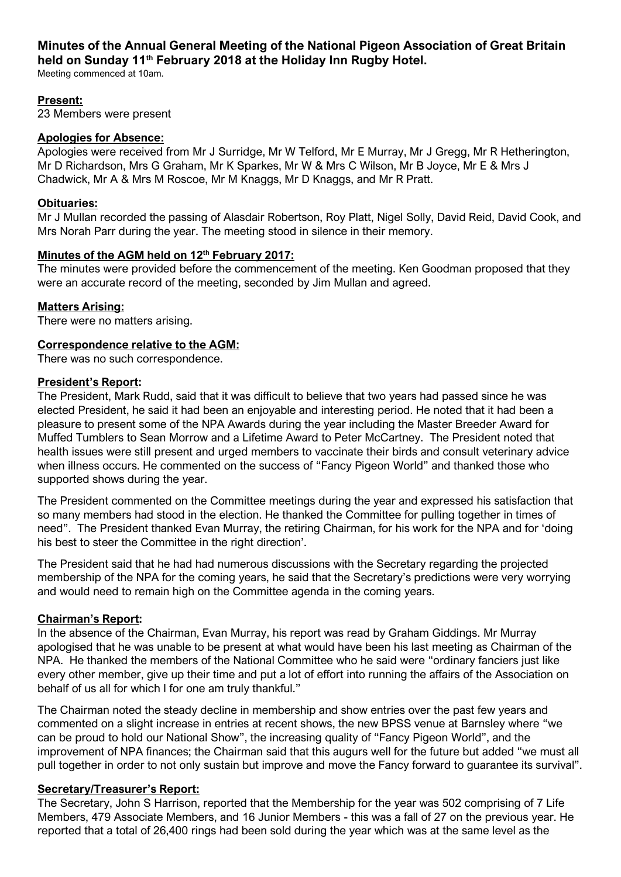# Minutes of the Annual General Meeting of the National Pigeon Association of Great Britain held on Sunday 11<sup>th</sup> February 2018 at the Holiday Inn Rugby Hotel.

Meeting commenced at 10am.

## Present:

23 Members were present

#### Apologies for Absence:

Apologies were received from Mr J Surridge, Mr W Telford, Mr E Murray, Mr J Gregg, Mr R Hetherington, Mr D Richardson, Mrs G Graham, Mr K Sparkes, Mr W & Mrs C Wilson, Mr B Joyce, Mr E & Mrs J Chadwick, Mr A & Mrs M Roscoe, Mr M Knaggs, Mr D Knaggs, and Mr R Pratt.

## Obituaries:

Mr J Mullan recorded the passing of Alasdair Robertson, Roy Platt, Nigel Solly, David Reid, David Cook, and Mrs Norah Parr during the year. The meeting stood in silence in their memory.

## Minutes of the AGM held on 12<sup>th</sup> February 2017:

The minutes were provided before the commencement of the meeting. Ken Goodman proposed that they were an accurate record of the meeting, seconded by Jim Mullan and agreed.

## Matters Arising:

There were no matters arising.

## Correspondence relative to the AGM:

There was no such correspondence.

## President's Report:

The President, Mark Rudd, said that it was difficult to believe that two years had passed since he was elected President, he said it had been an enjoyable and interesting period. He noted that it had been a pleasure to present some of the NPA Awards during the year including the Master Breeder Award for Muffed Tumblers to Sean Morrow and a Lifetime Award to Peter McCartney. The President noted that health issues were still present and urged members to vaccinate their birds and consult veterinary advice when illness occurs. He commented on the success of "Fancy Pigeon World" and thanked those who supported shows during the year.

The President commented on the Committee meetings during the year and expressed his satisfaction that so many members had stood in the election. He thanked the Committee for pulling together in times of need". The President thanked Evan Murray, the retiring Chairman, for his work for the NPA and for 'doing his best to steer the Committee in the right direction'.

The President said that he had had numerous discussions with the Secretary regarding the projected membership of the NPA for the coming years, he said that the Secretary's predictions were very worrying and would need to remain high on the Committee agenda in the coming years.

## Chairman's Report:

In the absence of the Chairman, Evan Murray, his report was read by Graham Giddings. Mr Murray apologised that he was unable to be present at what would have been his last meeting as Chairman of the NPA. He thanked the members of the National Committee who he said were "ordinary fanciers just like every other member, give up their time and put a lot of effort into running the affairs of the Association on behalf of us all for which I for one am truly thankful."

The Chairman noted the steady decline in membership and show entries over the past few years and commented on a slight increase in entries at recent shows, the new BPSS venue at Barnsley where "we can be proud to hold our National Show", the increasing quality of "Fancy Pigeon World", and the improvement of NPA finances; the Chairman said that this augurs well for the future but added "we must all pull together in order to not only sustain but improve and move the Fancy forward to guarantee its survival".

## Secretary/Treasurer's Report:

The Secretary, John S Harrison, reported that the Membership for the year was 502 comprising of 7 Life Members, 479 Associate Members, and 16 Junior Members - this was a fall of 27 on the previous year. He reported that a total of 26,400 rings had been sold during the year which was at the same level as the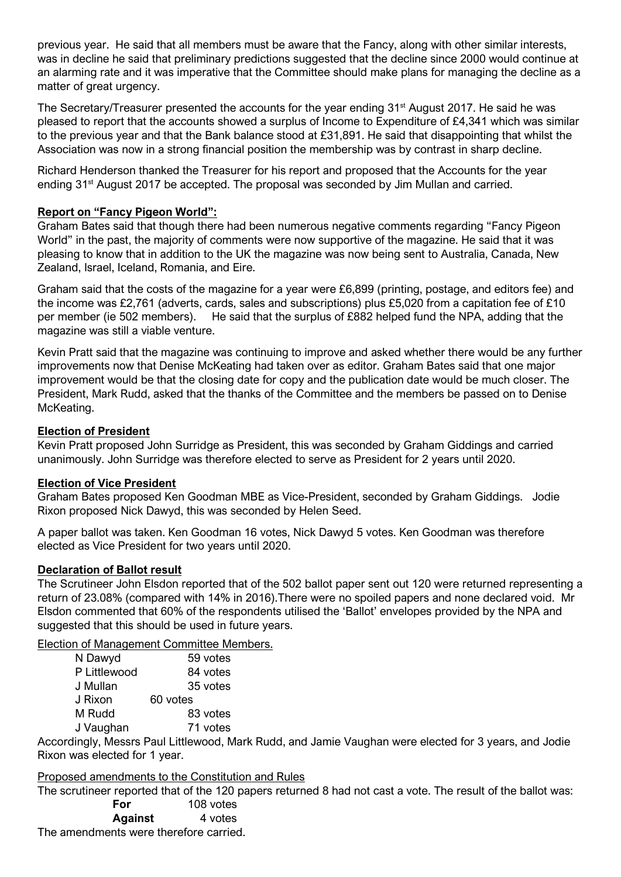previous year. He said that all members must be aware that the Fancy, along with other similar interests, was in decline he said that preliminary predictions suggested that the decline since 2000 would continue at an alarming rate and it was imperative that the Committee should make plans for managing the decline as a matter of great urgency.

The Secretary/Treasurer presented the accounts for the year ending  $31<sup>st</sup>$  August 2017. He said he was pleased to report that the accounts showed a surplus of Income to Expenditure of £4,341 which was similar to the previous year and that the Bank balance stood at £31,891. He said that disappointing that whilst the Association was now in a strong financial position the membership was by contrast in sharp decline.

Richard Henderson thanked the Treasurer for his report and proposed that the Accounts for the year ending 31<sup>st</sup> August 2017 be accepted. The proposal was seconded by Jim Mullan and carried.

## Report on "Fancy Pigeon World":

Graham Bates said that though there had been numerous negative comments regarding "Fancy Pigeon World" in the past, the majority of comments were now supportive of the magazine. He said that it was pleasing to know that in addition to the UK the magazine was now being sent to Australia, Canada, New Zealand, Israel, Iceland, Romania, and Eire.

Graham said that the costs of the magazine for a year were £6,899 (printing, postage, and editors fee) and the income was £2,761 (adverts, cards, sales and subscriptions) plus £5,020 from a capitation fee of £10 per member (ie 502 members). He said that the surplus of £882 helped fund the NPA, adding that the magazine was still a viable venture.

Kevin Pratt said that the magazine was continuing to improve and asked whether there would be any further improvements now that Denise McKeating had taken over as editor. Graham Bates said that one major improvement would be that the closing date for copy and the publication date would be much closer. The President, Mark Rudd, asked that the thanks of the Committee and the members be passed on to Denise McKeating.

## Election of President

Kevin Pratt proposed John Surridge as President, this was seconded by Graham Giddings and carried unanimously. John Surridge was therefore elected to serve as President for 2 years until 2020.

#### Election of Vice President

Graham Bates proposed Ken Goodman MBE as Vice-President, seconded by Graham Giddings. Jodie Rixon proposed Nick Dawyd, this was seconded by Helen Seed.

A paper ballot was taken. Ken Goodman 16 votes, Nick Dawyd 5 votes. Ken Goodman was therefore elected as Vice President for two years until 2020.

#### Declaration of Ballot result

The Scrutineer John Elsdon reported that of the 502 ballot paper sent out 120 were returned representing a return of 23.08% (compared with 14% in 2016).There were no spoiled papers and none declared void. Mr Elsdon commented that 60% of the respondents utilised the 'Ballot' envelopes provided by the NPA and suggested that this should be used in future years.

Election of Management Committee Members.

| N Dawyd      | 59 votes |
|--------------|----------|
| P Littlewood | 84 votes |
| J Mullan     | 35 votes |
| J Rixon      | 60 votes |
| M Rudd       | 83 votes |
| J Vaughan    | 71 votes |

Accordingly, Messrs Paul Littlewood, Mark Rudd, and Jamie Vaughan were elected for 3 years, and Jodie Rixon was elected for 1 year.

#### Proposed amendments to the Constitution and Rules

The scrutineer reported that of the 120 papers returned 8 had not cast a vote. The result of the ballot was:  $100$  votes

| rvı            | TUU VUL <del>U</del> S |
|----------------|------------------------|
| <b>Against</b> | 4 votes                |
|                |                        |

The amendments were therefore carried.